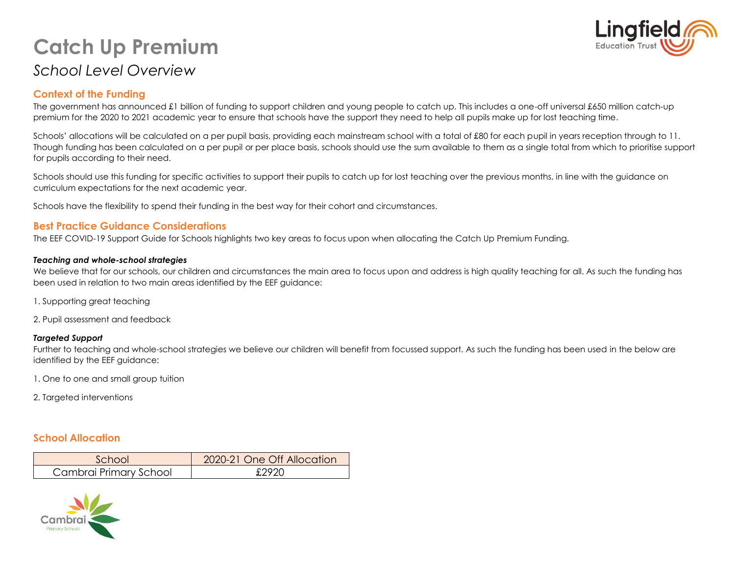# **Catch Up Premium** *School Level Overview*



## **Context of the Funding**

The government has announced £1 billion of funding to support children and young people to catch up. This includes a one-off universal £650 million catch-up premium for the 2020 to 2021 academic year to ensure that schools have the support they need to help all pupils make up for lost teaching time.

Schools' allocations will be calculated on a per pupil basis, providing each mainstream school with a total of £80 for each pupil in years reception through to 11. Though funding has been calculated on a per pupil or per place basis, schools should use the sum available to them as a single total from which to prioritise support for pupils according to their need.

Schools should use this funding for specific activities to support their pupils to catch up for lost teaching over the previous months, in line with the guidance on curriculum expectations for the next academic year.

Schools have the flexibility to spend their funding in the best way for their cohort and circumstances.

#### **Best Practice Guidance Considerations**

The EEF COVID-19 Support Guide for Schools highlights two key areas to focus upon when allocating the Catch Up Premium Funding.

#### *Teaching and whole-school strategies*

We believe that for our schools, our children and circumstances the main area to focus upon and address is high quality teaching for all. As such the funding has been used in relation to two main areas identified by the EEF guidance:

- 1. Supporting great teaching
- 2. Pupil assessment and feedback

#### *Targeted Support*

Further to teaching and whole-school strategies we believe our children will benefit from focussed support. As such the funding has been used in the below are identified by the EEF guidance:

1. One to one and small group tuition

2. Targeted interventions

## **School Allocation**

| School                 | 2020-21 One Off Allocation |
|------------------------|----------------------------|
| Cambrai Primary School | £292C                      |